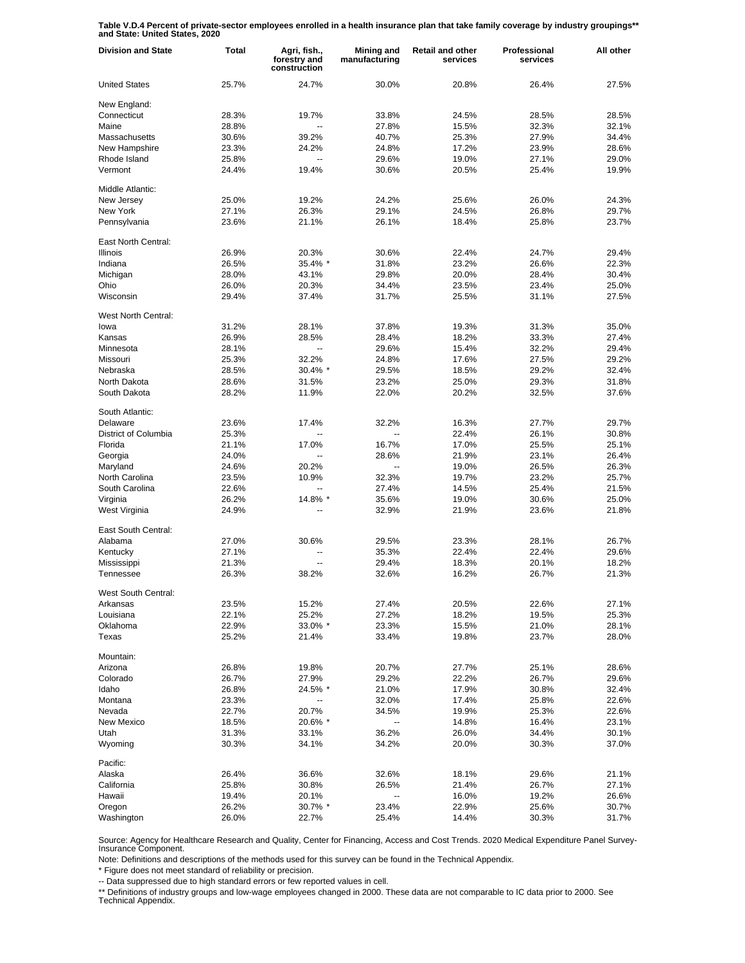**Table V.D.4 Percent of private-sector employees enrolled in a health insurance plan that take family coverage by industry groupings\*\* and State: United States, 2020**

| <b>Division and State</b> | Total | Agri, fish.,<br>forestry and<br>construction | Mining and<br>manufacturing | <b>Retail and other</b><br>services | Professional<br>services | All other |
|---------------------------|-------|----------------------------------------------|-----------------------------|-------------------------------------|--------------------------|-----------|
| <b>United States</b>      | 25.7% | 24.7%                                        | 30.0%                       | 20.8%                               | 26.4%                    | 27.5%     |
| New England:              |       |                                              |                             |                                     |                          |           |
| Connecticut               | 28.3% | 19.7%                                        | 33.8%                       | 24.5%                               | 28.5%                    | 28.5%     |
| Maine                     | 28.8% | ۵.                                           | 27.8%                       | 15.5%                               | 32.3%                    | 32.1%     |
| Massachusetts             | 30.6% | 39.2%                                        | 40.7%                       | 25.3%                               | 27.9%                    | 34.4%     |
| New Hampshire             | 23.3% | 24.2%                                        | 24.8%                       | 17.2%                               | 23.9%                    | 28.6%     |
| Rhode Island              | 25.8% | Ξ.                                           | 29.6%                       | 19.0%                               | 27.1%                    | 29.0%     |
| Vermont                   | 24.4% | 19.4%                                        | 30.6%                       | 20.5%                               | 25.4%                    | 19.9%     |
| Middle Atlantic:          |       |                                              |                             |                                     |                          |           |
| New Jersey                | 25.0% | 19.2%                                        | 24.2%                       | 25.6%                               | 26.0%                    | 24.3%     |
| New York                  | 27.1% | 26.3%                                        | 29.1%                       | 24.5%                               | 26.8%                    | 29.7%     |
| Pennsylvania              | 23.6% | 21.1%                                        | 26.1%                       | 18.4%                               | 25.8%                    | 23.7%     |
| East North Central:       |       |                                              |                             |                                     |                          |           |
| <b>Illinois</b>           | 26.9% | 20.3%                                        | 30.6%                       | 22.4%                               | 24.7%                    | 29.4%     |
| Indiana                   | 26.5% | 35.4% *                                      | 31.8%                       | 23.2%                               | 26.6%                    | 22.3%     |
| Michigan                  | 28.0% | 43.1%                                        | 29.8%                       | 20.0%                               | 28.4%                    | 30.4%     |
| Ohio                      | 26.0% | 20.3%                                        | 34.4%                       | 23.5%                               | 23.4%                    | 25.0%     |
| Wisconsin                 | 29.4% | 37.4%                                        | 31.7%                       | 25.5%                               | 31.1%                    | 27.5%     |
| West North Central:       |       |                                              |                             |                                     |                          |           |
| lowa                      | 31.2% | 28.1%                                        | 37.8%                       | 19.3%                               | 31.3%                    | 35.0%     |
| Kansas                    | 26.9% | 28.5%                                        | 28.4%                       | 18.2%                               | 33.3%                    | 27.4%     |
| Minnesota                 | 28.1% | Ξ.                                           | 29.6%                       | 15.4%                               | 32.2%                    | 29.4%     |
| Missouri                  | 25.3% | 32.2%                                        | 24.8%                       | 17.6%                               | 27.5%                    | 29.2%     |
| Nebraska                  | 28.5% | 30.4% *                                      | 29.5%                       | 18.5%                               | 29.2%                    | 32.4%     |
| North Dakota              | 28.6% | 31.5%                                        | 23.2%                       | 25.0%                               | 29.3%                    | 31.8%     |
| South Dakota              | 28.2% | 11.9%                                        | 22.0%                       | 20.2%                               | 32.5%                    | 37.6%     |
|                           |       |                                              |                             |                                     |                          |           |
| South Atlantic:           |       |                                              |                             |                                     |                          |           |
| Delaware                  | 23.6% | 17.4%                                        | 32.2%                       | 16.3%                               | 27.7%                    | 29.7%     |
| District of Columbia      | 25.3% | ۵.                                           |                             | 22.4%                               | 26.1%                    | 30.8%     |
| Florida                   | 21.1% | 17.0%                                        | 16.7%                       | 17.0%                               | 25.5%                    | 25.1%     |
| Georgia                   | 24.0% |                                              | 28.6%                       | 21.9%                               | 23.1%                    | 26.4%     |
| Maryland                  | 24.6% | 20.2%                                        | $\overline{a}$              | 19.0%                               | 26.5%                    | 26.3%     |
| North Carolina            | 23.5% | 10.9%                                        | 32.3%                       | 19.7%                               | 23.2%                    | 25.7%     |
| South Carolina            | 22.6% |                                              | 27.4%                       | 14.5%                               | 25.4%                    | 21.5%     |
| Virginia                  | 26.2% | 14.8% *                                      | 35.6%                       | 19.0%                               | 30.6%                    | 25.0%     |
| West Virginia             | 24.9% |                                              | 32.9%                       | 21.9%                               | 23.6%                    | 21.8%     |
| East South Central:       |       |                                              |                             |                                     |                          |           |
| Alabama                   | 27.0% | 30.6%                                        | 29.5%                       | 23.3%                               | 28.1%                    | 26.7%     |
| Kentucky                  | 27.1% | --                                           | 35.3%                       | 22.4%                               | 22.4%                    | 29.6%     |
| Mississippi               | 21.3% | --                                           | 29.4%                       | 18.3%                               | 20.1%                    | 18.2%     |
| Tennessee                 | 26.3% | 38.2%                                        | 32.6%                       | 16.2%                               | 26.7%                    | 21.3%     |
| West South Central:       |       |                                              |                             |                                     |                          |           |
| Arkansas                  | 23.5% | 15.2%                                        | 27.4%                       | 20.5%                               | 22.6%                    | 27.1%     |
| Louisiana                 | 22.1% | 25.2%                                        | 27.2%                       | 18.2%                               | 19.5%                    | 25.3%     |
| Oklahoma                  | 22.9% | 33.0% *                                      | 23.3%                       | 15.5%                               | 21.0%                    | 28.1%     |
| Texas                     | 25.2% | 21.4%                                        | 33.4%                       | 19.8%                               | 23.7%                    | 28.0%     |
| Mountain:                 |       |                                              |                             |                                     |                          |           |
| Arizona                   | 26.8% | 19.8%                                        | 20.7%                       | 27.7%                               | 25.1%                    | 28.6%     |
| Colorado                  | 26.7% | 27.9%                                        | 29.2%                       | 22.2%                               | 26.7%                    | 29.6%     |
| Idaho                     | 26.8% | 24.5% *                                      | 21.0%                       | 17.9%                               | 30.8%                    | 32.4%     |
| Montana                   | 23.3% | --                                           | 32.0%                       | 17.4%                               | 25.8%                    | 22.6%     |
| Nevada                    | 22.7% | 20.7%                                        | 34.5%                       | 19.9%                               | 25.3%                    | 22.6%     |
| New Mexico                | 18.5% | 20.6% *                                      | $\overline{\phantom{a}}$    | 14.8%                               | 16.4%                    | 23.1%     |
| Utah                      | 31.3% | 33.1%                                        | 36.2%                       | 26.0%                               | 34.4%                    | 30.1%     |
| Wyoming                   | 30.3% | 34.1%                                        | 34.2%                       | 20.0%                               | 30.3%                    | 37.0%     |
| Pacific:                  |       |                                              |                             |                                     |                          |           |
| Alaska                    | 26.4% | 36.6%                                        | 32.6%                       | 18.1%                               | 29.6%                    | 21.1%     |
| California                | 25.8% | 30.8%                                        | 26.5%                       | 21.4%                               | 26.7%                    | 27.1%     |
| Hawaii                    | 19.4% | 20.1%                                        | --                          | 16.0%                               | 19.2%                    | 26.6%     |
| Oregon                    | 26.2% | 30.7% *                                      | 23.4%                       | 22.9%                               | 25.6%                    | 30.7%     |
| Washington                | 26.0% | 22.7%                                        | 25.4%                       | 14.4%                               | 30.3%                    | 31.7%     |

Source: Agency for Healthcare Research and Quality, Center for Financing, Access and Cost Trends. 2020 Medical Expenditure Panel Survey-Insurance Component.

Note: Definitions and descriptions of the methods used for this survey can be found in the Technical Appendix.

\* Figure does not meet standard of reliability or precision.

-- Data suppressed due to high standard errors or few reported values in cell.

\*\* Definitions of industry groups and low-wage employees changed in 2000. These data are not comparable to IC data prior to 2000. See Technical Appendix.